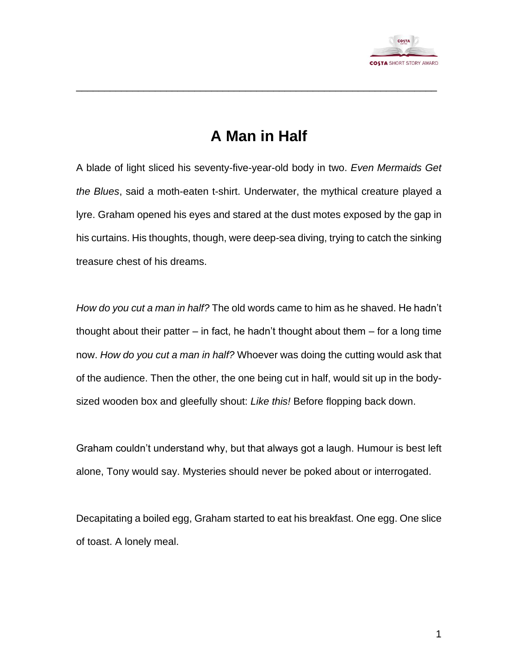

## **A Man in Half**

\_\_\_\_\_\_\_\_\_\_\_\_\_\_\_\_\_\_\_\_\_\_\_\_\_\_\_\_\_\_\_\_\_\_\_\_\_\_\_\_\_\_\_\_\_\_\_\_\_\_\_\_\_\_\_\_\_\_\_\_\_\_\_\_

A blade of light sliced his seventy-five-year-old body in two. *Even Mermaids Get the Blues*, said a moth-eaten t-shirt. Underwater, the mythical creature played a lyre. Graham opened his eyes and stared at the dust motes exposed by the gap in his curtains. His thoughts, though, were deep-sea diving, trying to catch the sinking treasure chest of his dreams.

*How do you cut a man in half?* The old words came to him as he shaved. He hadn't thought about their patter – in fact, he hadn't thought about them – for a long time now. *How do you cut a man in half?* Whoever was doing the cutting would ask that of the audience. Then the other, the one being cut in half, would sit up in the bodysized wooden box and gleefully shout: *Like this!* Before flopping back down.

Graham couldn't understand why, but that always got a laugh. Humour is best left alone, Tony would say. Mysteries should never be poked about or interrogated.

Decapitating a boiled egg, Graham started to eat his breakfast. One egg. One slice of toast. A lonely meal.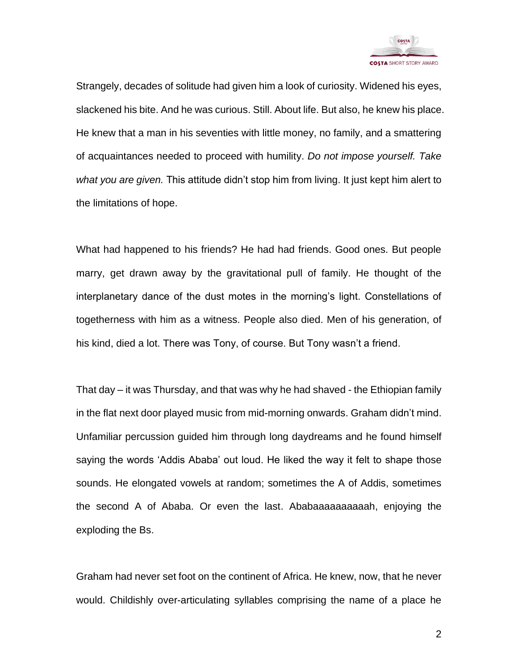

Strangely, decades of solitude had given him a look of curiosity. Widened his eyes, slackened his bite. And he was curious. Still. About life. But also, he knew his place. He knew that a man in his seventies with little money, no family, and a smattering of acquaintances needed to proceed with humility. *Do not impose yourself. Take what you are given.* This attitude didn't stop him from living. It just kept him alert to the limitations of hope.

What had happened to his friends? He had had friends. Good ones. But people marry, get drawn away by the gravitational pull of family. He thought of the interplanetary dance of the dust motes in the morning's light. Constellations of togetherness with him as a witness. People also died. Men of his generation, of his kind, died a lot. There was Tony, of course. But Tony wasn't a friend.

That day – it was Thursday, and that was why he had shaved - the Ethiopian family in the flat next door played music from mid-morning onwards. Graham didn't mind. Unfamiliar percussion guided him through long daydreams and he found himself saying the words 'Addis Ababa' out loud. He liked the way it felt to shape those sounds. He elongated vowels at random; sometimes the A of Addis, sometimes the second A of Ababa. Or even the last. Ababaaaaaaaaaah, enjoying the exploding the Bs.

Graham had never set foot on the continent of Africa. He knew, now, that he never would. Childishly over-articulating syllables comprising the name of a place he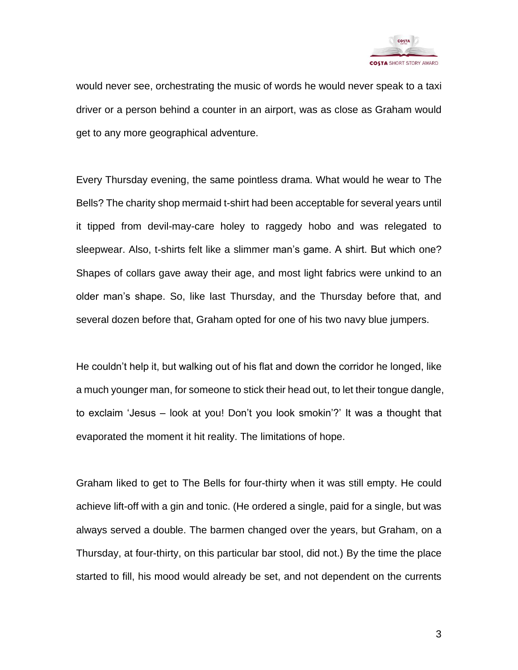

would never see, orchestrating the music of words he would never speak to a taxi driver or a person behind a counter in an airport, was as close as Graham would get to any more geographical adventure.

Every Thursday evening, the same pointless drama. What would he wear to The Bells? The charity shop mermaid t-shirt had been acceptable for several years until it tipped from devil-may-care holey to raggedy hobo and was relegated to sleepwear. Also, t-shirts felt like a slimmer man's game. A shirt. But which one? Shapes of collars gave away their age, and most light fabrics were unkind to an older man's shape. So, like last Thursday, and the Thursday before that, and several dozen before that, Graham opted for one of his two navy blue jumpers.

He couldn't help it, but walking out of his flat and down the corridor he longed, like a much younger man, for someone to stick their head out, to let their tongue dangle, to exclaim 'Jesus – look at you! Don't you look smokin'?' It was a thought that evaporated the moment it hit reality. The limitations of hope.

Graham liked to get to The Bells for four-thirty when it was still empty. He could achieve lift-off with a gin and tonic. (He ordered a single, paid for a single, but was always served a double. The barmen changed over the years, but Graham, on a Thursday, at four-thirty, on this particular bar stool, did not.) By the time the place started to fill, his mood would already be set, and not dependent on the currents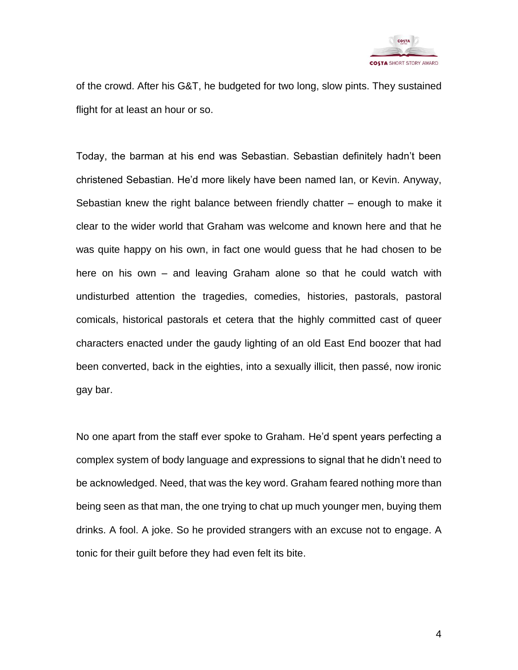

of the crowd. After his G&T, he budgeted for two long, slow pints. They sustained flight for at least an hour or so.

Today, the barman at his end was Sebastian. Sebastian definitely hadn't been christened Sebastian. He'd more likely have been named Ian, or Kevin. Anyway, Sebastian knew the right balance between friendly chatter – enough to make it clear to the wider world that Graham was welcome and known here and that he was quite happy on his own, in fact one would guess that he had chosen to be here on his own – and leaving Graham alone so that he could watch with undisturbed attention the tragedies, comedies, histories, pastorals, pastoral comicals, historical pastorals et cetera that the highly committed cast of queer characters enacted under the gaudy lighting of an old East End boozer that had been converted, back in the eighties, into a sexually illicit, then passé, now ironic gay bar.

No one apart from the staff ever spoke to Graham. He'd spent years perfecting a complex system of body language and expressions to signal that he didn't need to be acknowledged. Need, that was the key word. Graham feared nothing more than being seen as that man, the one trying to chat up much younger men, buying them drinks. A fool. A joke. So he provided strangers with an excuse not to engage. A tonic for their guilt before they had even felt its bite.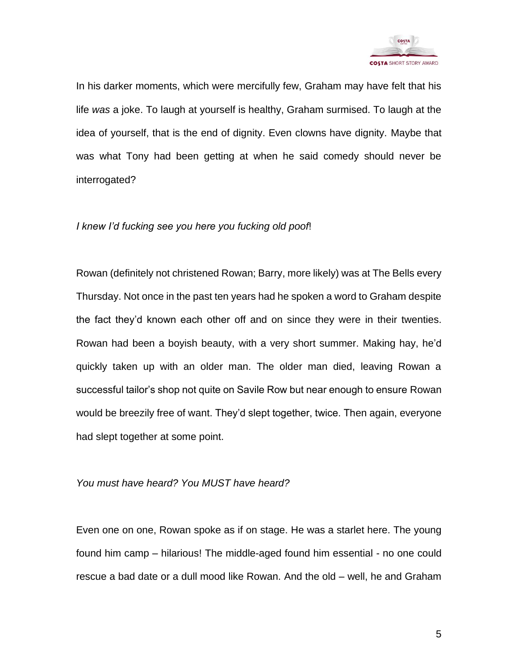

In his darker moments, which were mercifully few, Graham may have felt that his life *was* a joke. To laugh at yourself is healthy, Graham surmised. To laugh at the idea of yourself, that is the end of dignity. Even clowns have dignity. Maybe that was what Tony had been getting at when he said comedy should never be interrogated?

## *I knew I'd fucking see you here you fucking old poof*!

Rowan (definitely not christened Rowan; Barry, more likely) was at The Bells every Thursday. Not once in the past ten years had he spoken a word to Graham despite the fact they'd known each other off and on since they were in their twenties. Rowan had been a boyish beauty, with a very short summer. Making hay, he'd quickly taken up with an older man. The older man died, leaving Rowan a successful tailor's shop not quite on Savile Row but near enough to ensure Rowan would be breezily free of want. They'd slept together, twice. Then again, everyone had slept together at some point.

## *You must have heard? You MUST have heard?*

Even one on one, Rowan spoke as if on stage. He was a starlet here. The young found him camp – hilarious! The middle-aged found him essential - no one could rescue a bad date or a dull mood like Rowan. And the old – well, he and Graham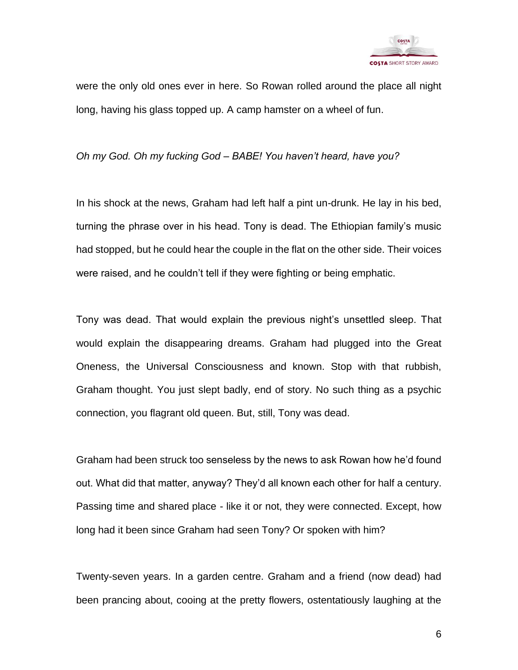

were the only old ones ever in here. So Rowan rolled around the place all night long, having his glass topped up. A camp hamster on a wheel of fun.

*Oh my God. Oh my fucking God – BABE! You haven't heard, have you?*

In his shock at the news, Graham had left half a pint un-drunk. He lay in his bed, turning the phrase over in his head. Tony is dead. The Ethiopian family's music had stopped, but he could hear the couple in the flat on the other side. Their voices were raised, and he couldn't tell if they were fighting or being emphatic.

Tony was dead. That would explain the previous night's unsettled sleep. That would explain the disappearing dreams. Graham had plugged into the Great Oneness, the Universal Consciousness and known. Stop with that rubbish, Graham thought. You just slept badly, end of story. No such thing as a psychic connection, you flagrant old queen. But, still, Tony was dead.

Graham had been struck too senseless by the news to ask Rowan how he'd found out. What did that matter, anyway? They'd all known each other for half a century. Passing time and shared place - like it or not, they were connected. Except, how long had it been since Graham had seen Tony? Or spoken with him?

Twenty-seven years. In a garden centre. Graham and a friend (now dead) had been prancing about, cooing at the pretty flowers, ostentatiously laughing at the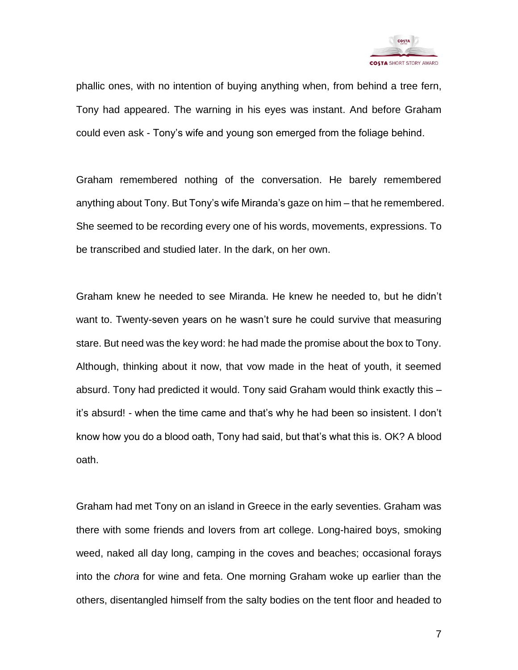

phallic ones, with no intention of buying anything when, from behind a tree fern, Tony had appeared. The warning in his eyes was instant. And before Graham could even ask - Tony's wife and young son emerged from the foliage behind.

Graham remembered nothing of the conversation. He barely remembered anything about Tony. But Tony's wife Miranda's gaze on him – that he remembered. She seemed to be recording every one of his words, movements, expressions. To be transcribed and studied later. In the dark, on her own.

Graham knew he needed to see Miranda. He knew he needed to, but he didn't want to. Twenty-seven years on he wasn't sure he could survive that measuring stare. But need was the key word: he had made the promise about the box to Tony. Although, thinking about it now, that vow made in the heat of youth, it seemed absurd. Tony had predicted it would. Tony said Graham would think exactly this – it's absurd! - when the time came and that's why he had been so insistent. I don't know how you do a blood oath, Tony had said, but that's what this is. OK? A blood oath.

Graham had met Tony on an island in Greece in the early seventies. Graham was there with some friends and lovers from art college. Long-haired boys, smoking weed, naked all day long, camping in the coves and beaches; occasional forays into the *chora* for wine and feta. One morning Graham woke up earlier than the others, disentangled himself from the salty bodies on the tent floor and headed to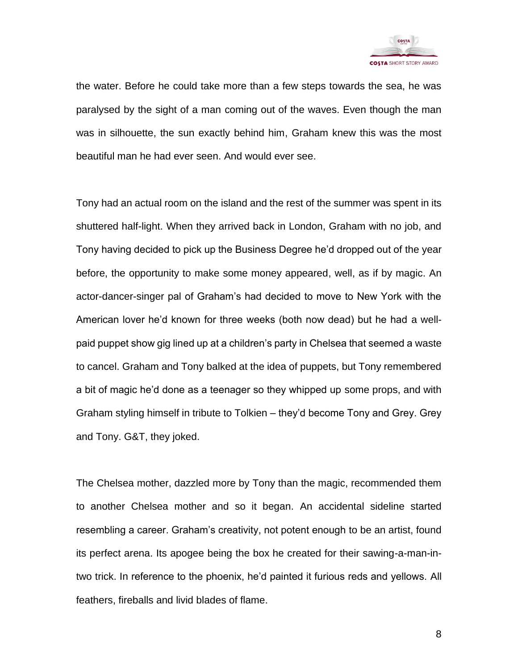

the water. Before he could take more than a few steps towards the sea, he was paralysed by the sight of a man coming out of the waves. Even though the man was in silhouette, the sun exactly behind him, Graham knew this was the most beautiful man he had ever seen. And would ever see.

Tony had an actual room on the island and the rest of the summer was spent in its shuttered half-light. When they arrived back in London, Graham with no job, and Tony having decided to pick up the Business Degree he'd dropped out of the year before, the opportunity to make some money appeared, well, as if by magic. An actor-dancer-singer pal of Graham's had decided to move to New York with the American lover he'd known for three weeks (both now dead) but he had a wellpaid puppet show gig lined up at a children's party in Chelsea that seemed a waste to cancel. Graham and Tony balked at the idea of puppets, but Tony remembered a bit of magic he'd done as a teenager so they whipped up some props, and with Graham styling himself in tribute to Tolkien – they'd become Tony and Grey. Grey and Tony. G&T, they joked.

The Chelsea mother, dazzled more by Tony than the magic, recommended them to another Chelsea mother and so it began. An accidental sideline started resembling a career. Graham's creativity, not potent enough to be an artist, found its perfect arena. Its apogee being the box he created for their sawing-a-man-intwo trick. In reference to the phoenix, he'd painted it furious reds and yellows. All feathers, fireballs and livid blades of flame.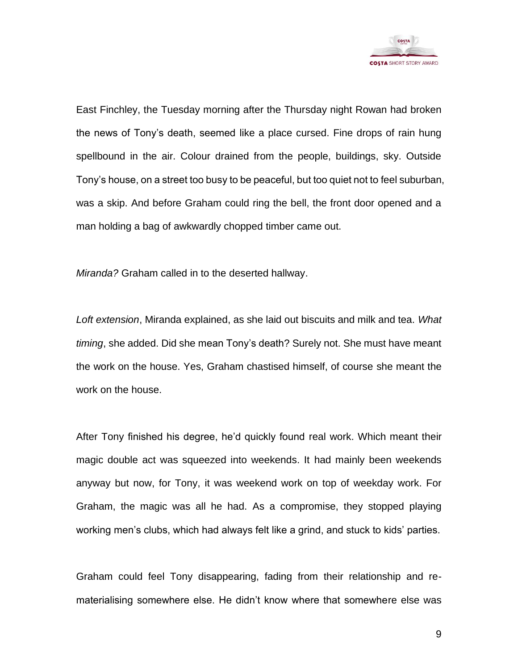

East Finchley, the Tuesday morning after the Thursday night Rowan had broken the news of Tony's death, seemed like a place cursed. Fine drops of rain hung spellbound in the air. Colour drained from the people, buildings, sky. Outside Tony's house, on a street too busy to be peaceful, but too quiet not to feel suburban, was a skip. And before Graham could ring the bell, the front door opened and a man holding a bag of awkwardly chopped timber came out.

*Miranda?* Graham called in to the deserted hallway.

*Loft extension*, Miranda explained, as she laid out biscuits and milk and tea. *What timing*, she added. Did she mean Tony's death? Surely not. She must have meant the work on the house. Yes, Graham chastised himself, of course she meant the work on the house.

After Tony finished his degree, he'd quickly found real work. Which meant their magic double act was squeezed into weekends. It had mainly been weekends anyway but now, for Tony, it was weekend work on top of weekday work. For Graham, the magic was all he had. As a compromise, they stopped playing working men's clubs, which had always felt like a grind, and stuck to kids' parties.

Graham could feel Tony disappearing, fading from their relationship and rematerialising somewhere else. He didn't know where that somewhere else was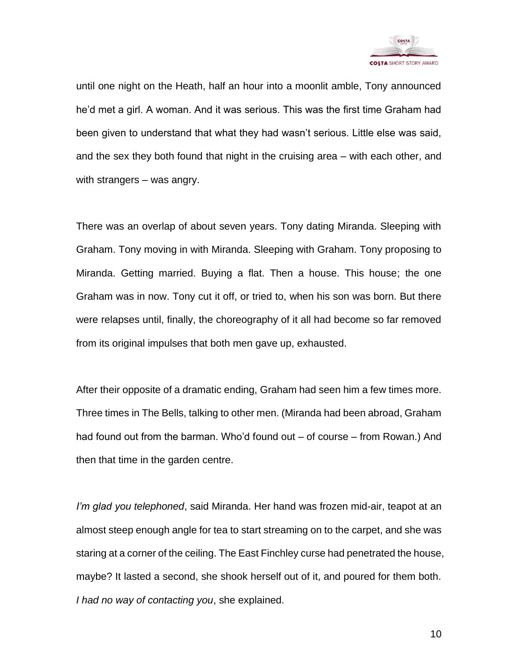

until one night on the Heath, half an hour into a moonlit amble, Tony announced he'd met a girl. A woman. And it was serious. This was the first time Graham had been given to understand that what they had wasn't serious. Little else was said, and the sex they both found that night in the cruising area – with each other, and with strangers – was angry.

There was an overlap of about seven years. Tony dating Miranda. Sleeping with Graham. Tony moving in with Miranda. Sleeping with Graham. Tony proposing to Miranda. Getting married. Buying a flat. Then a house. This house; the one Graham was in now. Tony cut it off, or tried to, when his son was born. But there were relapses until, finally, the choreography of it all had become so far removed from its original impulses that both men gave up, exhausted.

After their opposite of a dramatic ending, Graham had seen him a few times more. Three times in The Bells, talking to other men. (Miranda had been abroad, Graham had found out from the barman. Who'd found out – of course – from Rowan.) And then that time in the garden centre.

*I'm glad you telephoned*, said Miranda. Her hand was frozen mid-air, teapot at an almost steep enough angle for tea to start streaming on to the carpet, and she was staring at a corner of the ceiling. The East Finchley curse had penetrated the house, maybe? It lasted a second, she shook herself out of it, and poured for them both. *I had no way of contacting you*, she explained.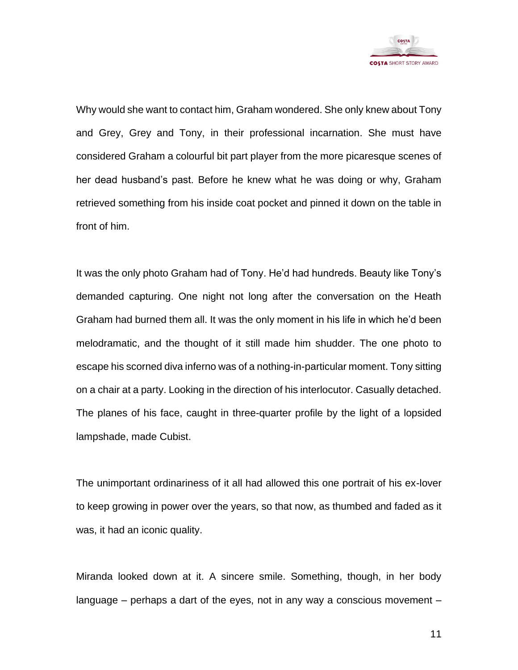

Why would she want to contact him, Graham wondered. She only knew about Tony and Grey, Grey and Tony, in their professional incarnation. She must have considered Graham a colourful bit part player from the more picaresque scenes of her dead husband's past. Before he knew what he was doing or why, Graham retrieved something from his inside coat pocket and pinned it down on the table in front of him.

It was the only photo Graham had of Tony. He'd had hundreds. Beauty like Tony's demanded capturing. One night not long after the conversation on the Heath Graham had burned them all. It was the only moment in his life in which he'd been melodramatic, and the thought of it still made him shudder. The one photo to escape his scorned diva inferno was of a nothing-in-particular moment. Tony sitting on a chair at a party. Looking in the direction of his interlocutor. Casually detached. The planes of his face, caught in three-quarter profile by the light of a lopsided lampshade, made Cubist.

The unimportant ordinariness of it all had allowed this one portrait of his ex-lover to keep growing in power over the years, so that now, as thumbed and faded as it was, it had an iconic quality.

Miranda looked down at it. A sincere smile. Something, though, in her body language – perhaps a dart of the eyes, not in any way a conscious movement –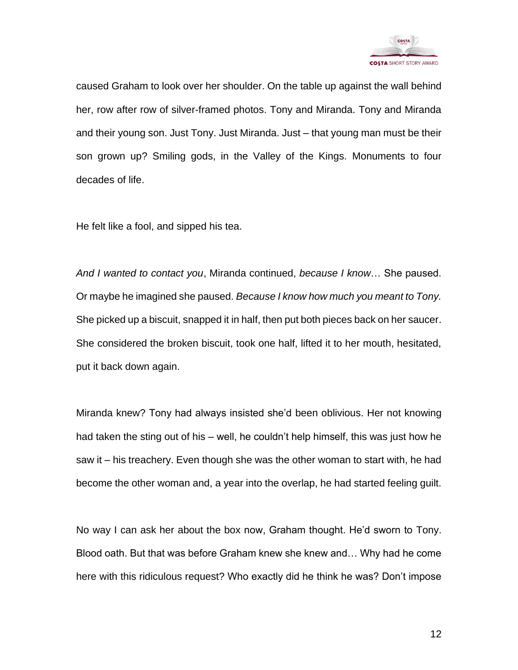

caused Graham to look over her shoulder. On the table up against the wall behind her, row after row of silver-framed photos. Tony and Miranda. Tony and Miranda and their young son. Just Tony. Just Miranda. Just – that young man must be their son grown up? Smiling gods, in the Valley of the Kings. Monuments to four decades of life.

He felt like a fool, and sipped his tea.

*And I wanted to contact you*, Miranda continued, *because I know*… She paused. Or maybe he imagined she paused. *Because I know how much you meant to Tony.* She picked up a biscuit, snapped it in half, then put both pieces back on her saucer. She considered the broken biscuit, took one half, lifted it to her mouth, hesitated, put it back down again.

Miranda knew? Tony had always insisted she'd been oblivious. Her not knowing had taken the sting out of his – well, he couldn't help himself, this was just how he saw it – his treachery. Even though she was the other woman to start with, he had become the other woman and, a year into the overlap, he had started feeling guilt.

No way I can ask her about the box now, Graham thought. He'd sworn to Tony. Blood oath. But that was before Graham knew she knew and… Why had he come here with this ridiculous request? Who exactly did he think he was? Don't impose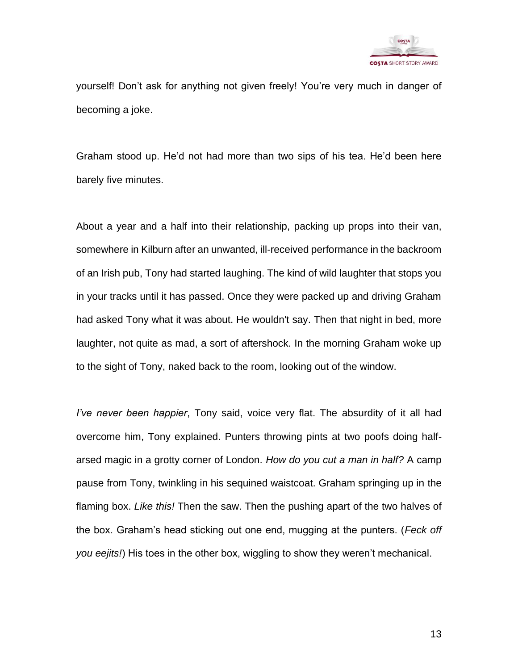

yourself! Don't ask for anything not given freely! You're very much in danger of becoming a joke.

Graham stood up. He'd not had more than two sips of his tea. He'd been here barely five minutes.

About a year and a half into their relationship, packing up props into their van, somewhere in Kilburn after an unwanted, ill-received performance in the backroom of an Irish pub, Tony had started laughing. The kind of wild laughter that stops you in your tracks until it has passed. Once they were packed up and driving Graham had asked Tony what it was about. He wouldn't say. Then that night in bed, more laughter, not quite as mad, a sort of aftershock. In the morning Graham woke up to the sight of Tony, naked back to the room, looking out of the window.

*I've never been happier*, Tony said, voice very flat. The absurdity of it all had overcome him, Tony explained. Punters throwing pints at two poofs doing halfarsed magic in a grotty corner of London. *How do you cut a man in half?* A camp pause from Tony, twinkling in his sequined waistcoat. Graham springing up in the flaming box. *Like this!* Then the saw. Then the pushing apart of the two halves of the box. Graham's head sticking out one end, mugging at the punters. (*Feck off you eejits!*) His toes in the other box, wiggling to show they weren't mechanical.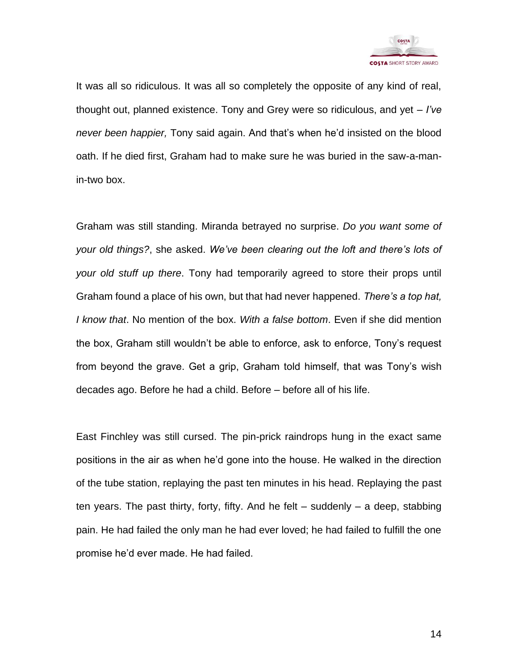

It was all so ridiculous. It was all so completely the opposite of any kind of real, thought out, planned existence. Tony and Grey were so ridiculous, and yet – *I've never been happier,* Tony said again. And that's when he'd insisted on the blood oath. If he died first, Graham had to make sure he was buried in the saw-a-manin-two box.

Graham was still standing. Miranda betrayed no surprise. *Do you want some of your old things?*, she asked. *We've been clearing out the loft and there's lots of your old stuff up there*. Tony had temporarily agreed to store their props until Graham found a place of his own, but that had never happened. *There's a top hat, I know that*. No mention of the box. *With a false bottom*. Even if she did mention the box, Graham still wouldn't be able to enforce, ask to enforce, Tony's request from beyond the grave. Get a grip, Graham told himself, that was Tony's wish decades ago. Before he had a child. Before – before all of his life.

East Finchley was still cursed. The pin-prick raindrops hung in the exact same positions in the air as when he'd gone into the house. He walked in the direction of the tube station, replaying the past ten minutes in his head. Replaying the past ten years. The past thirty, forty, fifty. And he felt – suddenly – a deep, stabbing pain. He had failed the only man he had ever loved; he had failed to fulfill the one promise he'd ever made. He had failed.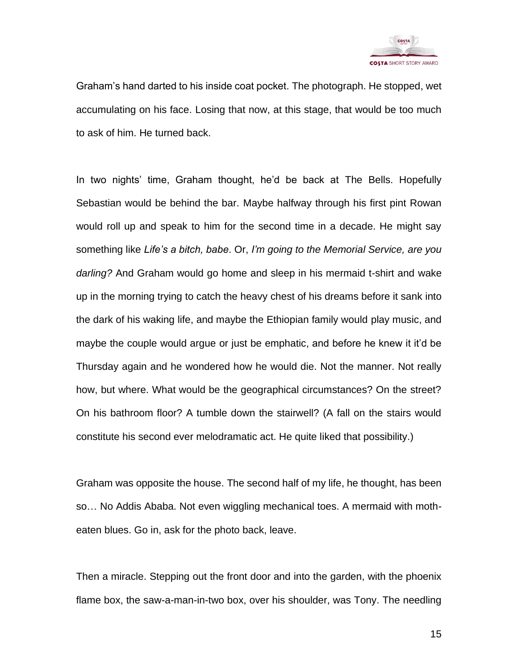

Graham's hand darted to his inside coat pocket. The photograph. He stopped, wet accumulating on his face. Losing that now, at this stage, that would be too much to ask of him. He turned back.

In two nights' time, Graham thought, he'd be back at The Bells. Hopefully Sebastian would be behind the bar. Maybe halfway through his first pint Rowan would roll up and speak to him for the second time in a decade. He might say something like *Life's a bitch, babe*. Or, *I'm going to the Memorial Service, are you darling?* And Graham would go home and sleep in his mermaid t-shirt and wake up in the morning trying to catch the heavy chest of his dreams before it sank into the dark of his waking life, and maybe the Ethiopian family would play music, and maybe the couple would argue or just be emphatic, and before he knew it it'd be Thursday again and he wondered how he would die. Not the manner. Not really how, but where. What would be the geographical circumstances? On the street? On his bathroom floor? A tumble down the stairwell? (A fall on the stairs would constitute his second ever melodramatic act. He quite liked that possibility.)

Graham was opposite the house. The second half of my life, he thought, has been so… No Addis Ababa. Not even wiggling mechanical toes. A mermaid with motheaten blues. Go in, ask for the photo back, leave.

Then a miracle. Stepping out the front door and into the garden, with the phoenix flame box, the saw-a-man-in-two box, over his shoulder, was Tony. The needling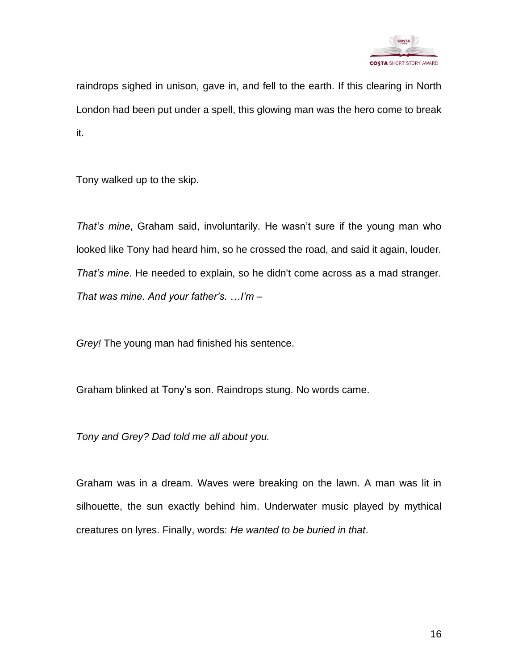

raindrops sighed in unison, gave in, and fell to the earth. If this clearing in North London had been put under a spell, this glowing man was the hero come to break it.

Tony walked up to the skip.

*That's mine*, Graham said, involuntarily. He wasn't sure if the young man who looked like Tony had heard him, so he crossed the road, and said it again, louder. *That's mine*. He needed to explain, so he didn't come across as a mad stranger. *That was mine. And your father's.* …*I'm –*

*Grey!* The young man had finished his sentence.

Graham blinked at Tony's son. Raindrops stung. No words came.

*Tony and Grey? Dad told me all about you.*

Graham was in a dream. Waves were breaking on the lawn. A man was lit in silhouette, the sun exactly behind him. Underwater music played by mythical creatures on lyres. Finally, words: *He wanted to be buried in that*.